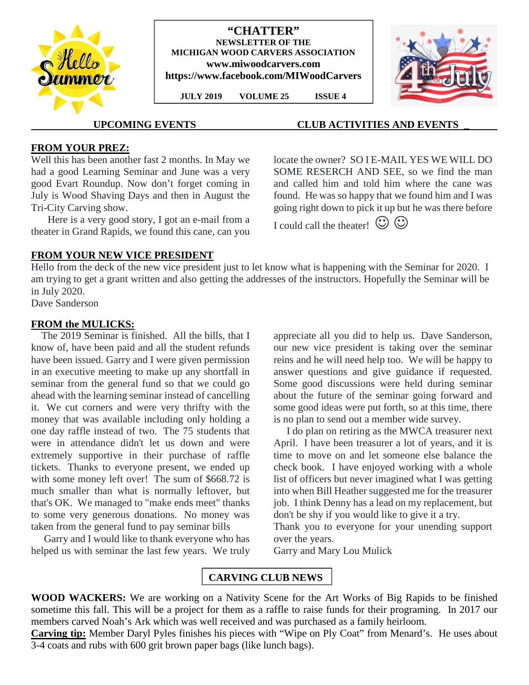

#### **"CHATTER" NEWSLETTER OF THE MICHIGAN WOOD CARVERS ASSOCIATION www.miwoodcarvers.com https://www.facebook.com/MIWoodCarvers**

**JULY 2019 VOLUME 25 ISSUE 4**



# **UPCOMING EVENTS CLUB ACTIVITIES AND EVENTS \_**

## **FROM YOUR PREZ:**

Well this has been another fast 2 months. In May we had a good Learning Seminar and June was a very good Evart Roundup. Now don't forget coming in July is Wood Shaving Days and then in August the Tri-City Carving show.

Here is a very good story, I got an e-mail from a theater in Grand Rapids, we found this cane, can you locate the owner? SO I E-MAIL YES WE WILL DO SOME RESERCH AND SEE, so we find the man and called him and told him where the cane was found. He was so happy that we found him and I was going right down to pick it up but he was there before

I could call the theater!  $\odot$ 

# **FROM YOUR NEW VICE PRESIDENT**

Hello from the deck of the new vice president just to let know what is happening with the Seminar for 2020. I am trying to get a grant written and also getting the addresses of the instructors. Hopefully the Seminar will be in July 2020.

Dave Sanderson

### **FROM the MULICKS:**

The 2019 Seminar is finished. All the bills, that I know of, have been paid and all the student refunds have been issued. Garry and I were given permission in an executive meeting to make up any shortfall in seminar from the general fund so that we could go ahead with the learning seminar instead of cancelling it. We cut corners and were very thrifty with the money that was available including only holding a one day raffle instead of two. The 75 students that were in attendance didn't let us down and were extremely supportive in their purchase of raffle tickets. Thanks to everyone present, we ended up with some money left over! The sum of \$668.72 is much smaller than what is normally leftover, but that's OK. We managed to "make ends meet" thanks to some very generous donations. No money was taken from the general fund to pay seminar bills

Garry and I would like to thank everyone who has helped us with seminar the last few years. We truly appreciate all you did to help us. Dave Sanderson, our new vice president is taking over the seminar reins and he will need help too. We will be happy to answer questions and give guidance if requested. Some good discussions were held during seminar about the future of the seminar going forward and some good ideas were put forth, so at this time, there is no plan to send out a member wide survey.

I do plan on retiring as the MWCA treasurer next April. I have been treasurer a lot of years, and it is time to move on and let someone else balance the check book. I have enjoyed working with a whole list of officers but never imagined what I was getting into when Bill Heather suggested me for the treasurer job. I think Denny has a lead on my replacement, but don't be shy if you would like to give it a try.

Thank you to everyone for your unending support over the years.

Garry and Mary Lou Mulick

# **CARVING CLUB NEWS**

**WOOD WACKERS:** We are working on a Nativity Scene for the Art Works of Big Rapids to be finished sometime this fall. This will be a project for them as a raffle to raise funds for their programing. In 2017 our members carved Noah's Ark which was well received and was purchased as a family heirloom.

**Carving tip:** Member Daryl Pyles finishes his pieces with "Wipe on Ply Coat" from Menard's. He uses about 3-4 coats and rubs with 600 grit brown paper bags (like lunch bags).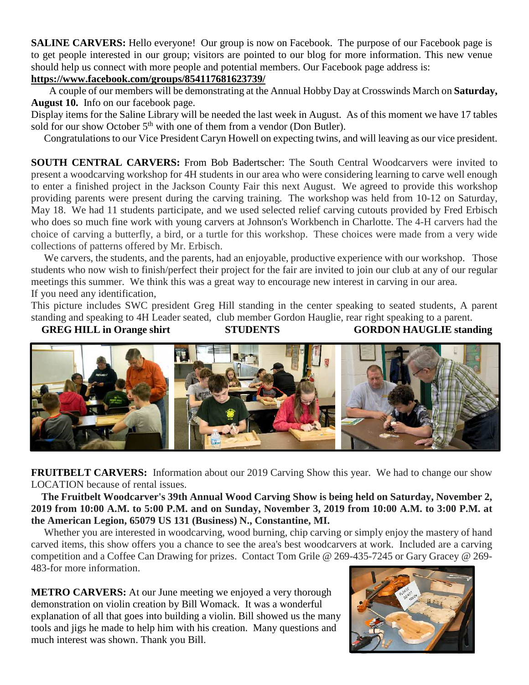**SALINE CARVERS:** Hello everyone! Our group is now on Facebook. The purpose of our Facebook page is to get people interested in our group; visitors are pointed to our blog for more information. This new venue should help us connect with more people and potential members. Our Facebook page address is:

# **https://www.facebook.com/groups/854117681623739/**

A couple of our members will be demonstrating at the Annual Hobby Day at Crosswinds March on **Saturday, August 10.** Info on our facebook page.

Display items for the Saline Library will be needed the last week in August. As of this moment we have 17 tables sold for our show October  $5<sup>th</sup>$  with one of them from a vendor (Don Butler).

Congratulations to our Vice President Caryn Howell on expecting twins, and will leaving as our vice president.

**SOUTH CENTRAL CARVERS:** From Bob Badertscher: The South Central Woodcarvers were invited to present a woodcarving workshop for 4H students in our area who were considering learning to carve well enough to enter a finished project in the Jackson County Fair this next August. We agreed to provide this workshop providing parents were present during the carving training. The workshop was held from 10-12 on Saturday, May 18. We had 11 students participate, and we used selected relief carving cutouts provided by Fred Erbisch who does so much fine work with young carvers at Johnson's Workbench in Charlotte. The 4-H carvers had the choice of carving a butterfly, a bird, or a turtle for this workshop. These choices were made from a very wide collections of patterns offered by Mr. Erbisch.

We carvers, the students, and the parents, had an enjoyable, productive experience with our workshop. Those students who now wish to finish/perfect their project for the fair are invited to join our club at any of our regular meetings this summer. We think this was a great way to encourage new interest in carving in our area. If you need any identification,

This picture includes SWC president Greg Hill standing in the center speaking to seated students, A parent standing and speaking to 4H Leader seated, club member Gordon Hauglie, rear right speaking to a parent.

GREG HILL in Orange shirt STUDENTS GORDON HAUGLIE standing



**FRUITBELT CARVERS:** Information about our 2019 Carving Show this year. We had to change our show LOCATION because of rental issues.

**The Fruitbelt Woodcarver's 39th Annual Wood Carving Show is being held on Saturday, November 2, 2019 from 10:00 A.M. to 5:00 P.M. and on Sunday, November 3, 2019 from 10:00 A.M. to 3:00 P.M. at the American Legion, 65079 US 131 (Business) N., Constantine, MI.**

Whether you are interested in woodcarving, wood burning, chip carving or simply enjoy the mastery of hand carved items, this show offers you a chance to see the area's best woodcarvers at work. Included are a carving competition and a Coffee Can Drawing for prizes. Contact Tom Grile @ 269-435-7245 or Gary Gracey @ 269- 483-for more information.

**METRO CARVERS:** At our June meeting we enjoyed a very thorough demonstration on violin creation by Bill Womack. It was a wonderful explanation of all that goes into building a violin. Bill showed us the many tools and jigs he made to help him with his creation. Many questions and much interest was shown. Thank you Bill.

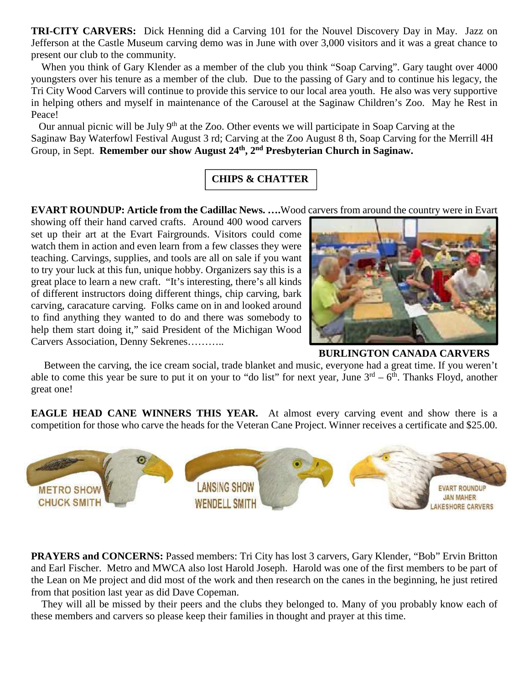**TRI-CITY CARVERS:** Dick Henning did a Carving 101 for the Nouvel Discovery Day in May. Jazz on Jefferson at the Castle Museum carving demo was in June with over 3,000 visitors and it was a great chance to present our club to the community.

When you think of Gary Klender as a member of the club you think "Soap Carving". Gary taught over 4000 youngsters over his tenure as a member of the club. Due to the passing of Gary and to continue his legacy, the Tri City Wood Carvers will continue to provide this service to our local area youth. He also was very supportive in helping others and myself in maintenance of the Carousel at the Saginaw Children's Zoo. May he Rest in Peace!

Our annual picnic will be July 9<sup>th</sup> at the Zoo. Other events we will participate in Soap Carving at the Saginaw Bay Waterfowl Festival August 3 rd; Carving at the Zoo August 8 th, Soap Carving for the Merrill 4H Group, in Sept. **Remember our show August 24th, 2nd Presbyterian Church in Saginaw.**

# **CHIPS & CHATTER**

**EVART ROUNDUP: Article from the Cadillac News. ….**Wood carvers from around the country were in Evart

showing off their hand carved crafts. Around 400 wood carvers set up their art at the Evart Fairgrounds. Visitors could come watch them in action and even learn from a few classes they were teaching. Carvings, supplies, and tools are all on sale if you want to try your luck at this fun, unique hobby. Organizers say this is a great place to learn a new craft. "It's interesting, there's all kinds of different instructors doing different things, chip carving, bark carving, caracature carving. Folks came on in and looked around to find anything they wanted to do and there was somebody to help them start doing it," said President of the Michigan Wood Carvers Association, Denny Sekrenes………..



**BURLINGTON CANADA CARVERS**

Between the carving, the ice cream social, trade blanket and music, everyone had a great time. If you weren't able to come this year be sure to put it on your to "do list" for next year, June  $3^{rd} - 6^{th}$ . Thanks Floyd, another great one!

**EAGLE HEAD CANE WINNERS THIS YEAR.** At almost every carving event and show there is a competition for those who carve the heads for the Veteran Cane Project. Winner receives a certificate and \$25.00.



**PRAYERS and CONCERNS:** Passed members: Tri City has lost 3 carvers, Gary Klender, "Bob" Ervin Britton and Earl Fischer. Metro and MWCA also lost Harold Joseph. Harold was one of the first members to be part of the Lean on Me project and did most of the work and then research on the canes in the beginning, he just retired from that position last year as did Dave Copeman.

They will all be missed by their peers and the clubs they belonged to. Many of you probably know each of these members and carvers so please keep their families in thought and prayer at this time.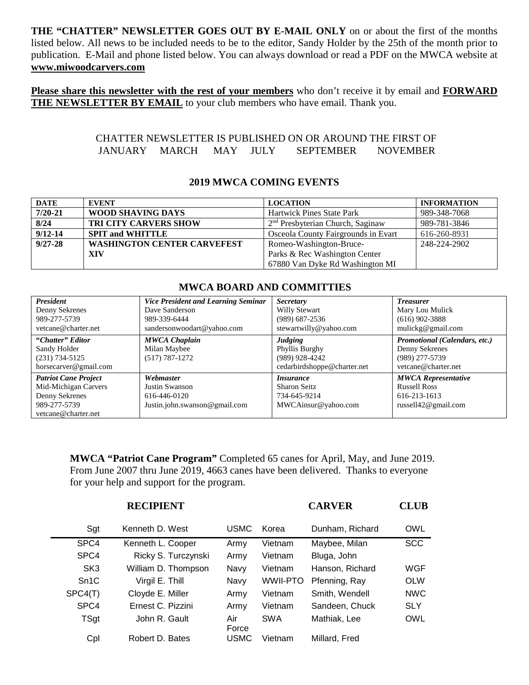**THE "CHATTER" NEWSLETTER GOES OUT BY E-MAIL ONLY** on or about the first of the months listed below. All news to be included needs to be to the editor, Sandy Holder by the 25th of the month prior to publication. E-Mail and phone listed below. You can always download or read a PDF on the MWCA website at **www.miwoodcarvers.com**

**Please share this newsletter with the rest of your members** who don't receive it by email and **FORWARD THE NEWSLETTER BY EMAIL** to your club members who have email. Thank you.

### CHATTER NEWSLETTER IS PUBLISHED ON OR AROUND THE FIRST OF JANUARY MARCH MAY JULY SEPTEMBER NOVEMBER

### **2019 MWCA COMING EVENTS**

| <b>DATE</b> | <b>EVENT</b>                       | <b>LOCATION</b>                     | <b>INFORMATION</b> |
|-------------|------------------------------------|-------------------------------------|--------------------|
| $7/20 - 21$ | WOOD SHAVING DAYS                  | <b>Hartwick Pines State Park</b>    | 989-348-7068       |
| 8/24        | <b>TRI CITY CARVERS SHOW</b>       | $2nd$ Presbyterian Church, Saginaw  | 989-781-3846       |
| $9/12 - 14$ | <b>SPIT and WHITTLE</b>            | Osceola County Fairgrounds in Evart | 616-260-8931       |
| $9/27 - 28$ | <b>WASHINGTON CENTER CARVEFEST</b> | Romeo-Washington-Bruce-             | 248-224-2902       |
|             | XIV                                | Parks & Rec Washington Center       |                    |
|             |                                    | 67880 Van Dyke Rd Washington MI     |                    |

#### *President* Denny Sekrenes 989-277-5739 vetcane@charter.net *Vice President and Learning Seminar* Dave Sanderson 989-339-6444 sandersonwoodart@yahoo.com *Secretary* Willy Stewart (989) 687-2536 stewartwilly@yahoo.com *Treasurer* Mary Lou Mulick (616) 902-3888 mulickg@gmail.com **"***Chatter" Editor* Sandy Holder (231) 734-5125 horsecarver@gmail.com *MWCA Chaplain* Milan Maybee (517) 787-1272 *Judging* Phyllis Burghy (989) 928-4242 cedarbirdshoppe@charter.net *Promotional (Calendars, etc.)* Denny Sekrenes (989) 277-5739 vetcane@charter.net *Patriot Cane Project* Mid-Michigan Carvers Denny Sekrenes 989-277-5739 vetcane@charter.net *Webmaster* Justin Swanson 616-446-0120 Justin.john.swanson@gmail.com *Insurance* Sharon Seitz 734-645-9214 MWCAinsur@yahoo.com *MWCA Representative* Russell Ross 616-213-1613 russell42@gmail.com

# **MWCA BOARD AND COMMITTIES**

**MWCA "Patriot Cane Program"** Completed 65 canes for April, May, and June 2019. From June 2007 thru June 2019, 4663 canes have been delivered. Thanks to everyone for your help and support for the program.

| <b>RECIPIENT</b> |                     |              |                 | <b>CLUB</b>     |            |
|------------------|---------------------|--------------|-----------------|-----------------|------------|
| Sgt              | Kenneth D. West     | USMC         | Korea           | Dunham, Richard | OWL        |
| SPC4             | Kenneth L. Cooper   | Army         | Vietnam         | Maybee, Milan   | <b>SCC</b> |
| SPC4             | Ricky S. Turczynski | Army         | Vietnam         | Bluga, John     |            |
| SK <sub>3</sub>  | William D. Thompson | Navy         | Vietnam         | Hanson, Richard | WGF        |
| Sn1C             | Virgil E. Thill     | Navy         | <b>WWII-PTO</b> | Pfenning, Ray   | <b>OLW</b> |
| SPC4(T)          | Cloyde E. Miller    | Army         | Vietnam         | Smith, Wendell  | <b>NWC</b> |
| SPC4             | Ernest C. Pizzini   | Army         | Vietnam         | Sandeen, Chuck  | <b>SLY</b> |
| <b>TSgt</b>      | John R. Gault       | Air<br>Force | <b>SWA</b>      | Mathiak, Lee    | <b>OWL</b> |
| Cpl              | Robert D. Bates     | USMC         | Vietnam         | Millard, Fred   |            |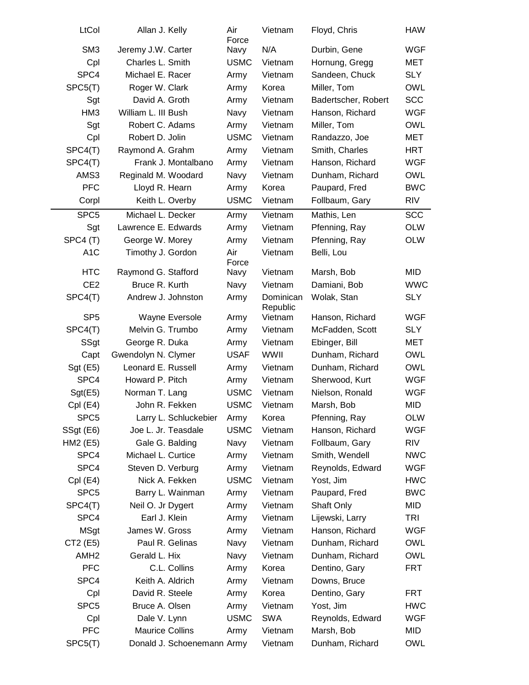| LtCol            | Allan J. Kelly         |                            | Air<br>Force | Vietnam               | Floyd, Chris        | <b>HAW</b> |
|------------------|------------------------|----------------------------|--------------|-----------------------|---------------------|------------|
| SM <sub>3</sub>  | Jeremy J.W. Carter     |                            | Navy         | N/A                   | Durbin, Gene        | <b>WGF</b> |
| Cpl              | Charles L. Smith       |                            | <b>USMC</b>  | Vietnam               | Hornung, Gregg      | MET        |
| SPC4             | Michael E. Racer       |                            | Army         | Vietnam               | Sandeen, Chuck      | <b>SLY</b> |
| SPC5(T)          | Roger W. Clark         |                            | Army         | Korea                 | Miller, Tom         | <b>OWL</b> |
| Sgt              | David A. Groth         |                            | Army         | Vietnam               | Badertscher, Robert | <b>SCC</b> |
| HM <sub>3</sub>  | William L. III Bush    |                            | Navy         | Vietnam               | Hanson, Richard     | <b>WGF</b> |
| Sgt              | Robert C. Adams        |                            | Army         | Vietnam               | Miller, Tom         | <b>OWL</b> |
| Cpl              | Robert D. Jolin        |                            | <b>USMC</b>  | Vietnam               | Randazzo, Joe       | MET        |
| SPC4(T)          | Raymond A. Grahm       |                            | Army         | Vietnam               | Smith, Charles      | <b>HRT</b> |
| SPC4(T)          |                        | Frank J. Montalbano        | Army         | Vietnam               | Hanson, Richard     | <b>WGF</b> |
| AMS3             | Reginald M. Woodard    |                            | Navy         | Vietnam               | Dunham, Richard     | <b>OWL</b> |
| <b>PFC</b>       | Lloyd R. Hearn         |                            | Army         | Korea                 | Paupard, Fred       | <b>BWC</b> |
| Corpl            | Keith L. Overby        |                            | <b>USMC</b>  | Vietnam               | Follbaum, Gary      | RIV        |
| SPC <sub>5</sub> | Michael L. Decker      |                            | Army         | Vietnam               | Mathis, Len         | <b>SCC</b> |
| Sgt              | Lawrence E. Edwards    |                            | Army         | Vietnam               | Pfenning, Ray       | <b>OLW</b> |
| SPC4 (T)         | George W. Morey        |                            | Army         | Vietnam               | Pfenning, Ray       | <b>OLW</b> |
| A <sub>1</sub> C | Timothy J. Gordon      |                            | Air<br>Force | Vietnam               | Belli, Lou          |            |
| <b>HTC</b>       | Raymond G. Stafford    |                            | Navy         | Vietnam               | Marsh, Bob          | <b>MID</b> |
| CE <sub>2</sub>  | Bruce R. Kurth         |                            | Navy         | Vietnam               | Damiani, Bob        | <b>WWC</b> |
| SPC4(T)          | Andrew J. Johnston     |                            | Army         | Dominican<br>Republic | Wolak, Stan         | <b>SLY</b> |
| SP <sub>5</sub>  |                        | Wayne Eversole             | Army         | Vietnam               | Hanson, Richard     | <b>WGF</b> |
| SPC4(T)          | Melvin G. Trumbo       |                            | Army         | Vietnam               | McFadden, Scott     | <b>SLY</b> |
| SSgt             | George R. Duka         |                            | Army         | Vietnam               | Ebinger, Bill       | MET        |
| Capt             | Gwendolyn N. Clymer    |                            | <b>USAF</b>  | WWII                  | Dunham, Richard     | <b>OWL</b> |
| Sgt (E5)         | Leonard E. Russell     |                            | Army         | Vietnam               | Dunham, Richard     | <b>OWL</b> |
| SPC4             | Howard P. Pitch        |                            | Army         | Vietnam               | Sherwood, Kurt      | <b>WGF</b> |
| Sgt(E5)          | Norman T. Lang         |                            | <b>USMC</b>  | Vietnam               | Nielson, Ronald     | <b>WGF</b> |
| Cpl (E4)         | John R. Fekken         |                            | <b>USMC</b>  | Vietnam               | Marsh, Bob          | <b>MID</b> |
| SPC <sub>5</sub> |                        | Larry L. Schluckebier      | Army         | Korea                 | Pfenning, Ray       | <b>OLW</b> |
| SSgt (E6)        | Joe L. Jr. Teasdale    |                            | <b>USMC</b>  | Vietnam               | Hanson, Richard     | <b>WGF</b> |
| HM2 (E5)         | Gale G. Balding        |                            | Navy         | Vietnam               | Follbaum, Gary      | RIV        |
| SPC4             | Michael L. Curtice     |                            | Army         | Vietnam               | Smith, Wendell      | NWC        |
| SPC4             | Steven D. Verburg      |                            | Army         | Vietnam               | Reynolds, Edward    | WGF        |
| $Cpl$ (E4)       | Nick A. Fekken         |                            | <b>USMC</b>  | Vietnam               | Yost, Jim           | <b>HWC</b> |
| SPC <sub>5</sub> |                        | Barry L. Wainman           | Army         | Vietnam               | Paupard, Fred       | <b>BWC</b> |
| SPC4(T)          | Neil O. Jr Dygert      |                            | Army         | Vietnam               | Shaft Only          | MID        |
| SPC4             | Earl J. Klein          |                            | Army         | Vietnam               | Lijewski, Larry     | TRI        |
| <b>MSgt</b>      | James W. Gross         |                            | Army         | Vietnam               | Hanson, Richard     | <b>WGF</b> |
| CT2 (E5)         | Paul R. Gelinas        |                            | Navy         | Vietnam               | Dunham, Richard     | OWL        |
| AMH <sub>2</sub> | Gerald L. Hix          |                            | Navy         | Vietnam               | Dunham, Richard     | OWL        |
| <b>PFC</b>       |                        | C.L. Collins               | Army         | Korea                 | Dentino, Gary       | <b>FRT</b> |
| SPC4             | Keith A. Aldrich       |                            | Army         | Vietnam               | Downs, Bruce        |            |
| Cpl              | David R. Steele        |                            | Army         | Korea                 | Dentino, Gary       | <b>FRT</b> |
| SPC <sub>5</sub> | Bruce A. Olsen         |                            | Army         | Vietnam               | Yost, Jim           | HWC        |
| Cpl              | Dale V. Lynn           |                            | <b>USMC</b>  | <b>SWA</b>            | Reynolds, Edward    | <b>WGF</b> |
| <b>PFC</b>       | <b>Maurice Collins</b> |                            | Army         | Vietnam               | Marsh, Bob          | MID        |
| SPC5(T)          |                        | Donald J. Schoenemann Army |              | Vietnam               | Dunham, Richard     | OWL        |